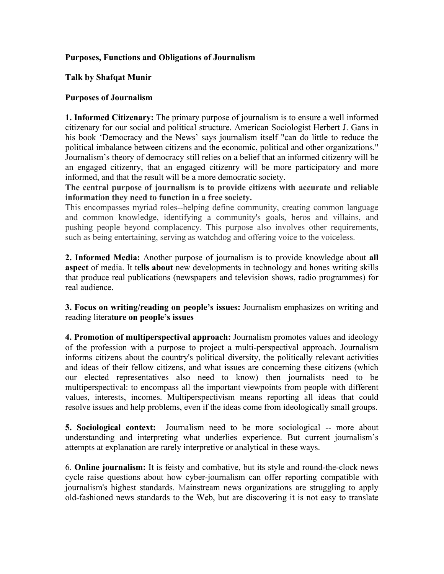# **Purposes, Functions and Obligations of Journalism**

#### **Talk by Shafqat Munir**

#### **Purposes of Journalism**

**1. Informed Citizenary:** The primary purpose of journalism is to ensure a well informed citizenary for our social and political structure. American Sociologist Herbert J. Gans in his book 'Democracy and the News' says journalism itself "can do little to reduce the political imbalance between citizens and the economic, political and other organizations." Journalism's theory of democracy still relies on a belief that an informed citizenry will be an engaged citizenry, that an engaged citizenry will be more participatory and more informed, and that the result will be a more democratic society.

**The central purpose of journalism is to provide citizens with accurate and reliable information they need to function in a free society.**

This encompasses myriad roles--helping define community, creating common language and common knowledge, identifying a community's goals, heros and villains, and pushing people beyond complacency. This purpose also involves other requirements, such as being entertaining, serving as watchdog and offering voice to the voiceless.

**2. Informed Media:** Another purpose of journalism is to provide knowledge about **all aspect** of media. It t**ells about** new developments in technology and hones writing skills that produce real publications (newspapers and television shows, radio programmes) for real audience.

**3. Focus on writing/reading on people's issues:** Journalism emphasizes on writing and reading literat**ure on people's issues** 

**4. Promotion of multiperspectival approach:** Journalism promotes values and ideology of the profession with a purpose to project a multi-perspectival approach. Journalism informs citizens about the country's political diversity, the politically relevant activities and ideas of their fellow citizens, and what issues are concerning these citizens (which our elected representatives also need to know) then journalists need to be multiperspectival: to encompass all the important viewpoints from people with different values, interests, incomes. Multiperspectivism means reporting all ideas that could resolve issues and help problems, even if the ideas come from ideologically small groups.

**5. Sociological context:** Journalism need to be more sociological -- more about understanding and interpreting what underlies experience. But current journalism's attempts at explanation are rarely interpretive or analytical in these ways.

6. **Online journalism:** It is feisty and combative, but its style and round-the-clock news cycle raise questions about how cyber-journalism can offer reporting compatible with journalism's highest standards. Mainstream news organizations are struggling to apply old-fashioned news standards to the Web, but are discovering it is not easy to translate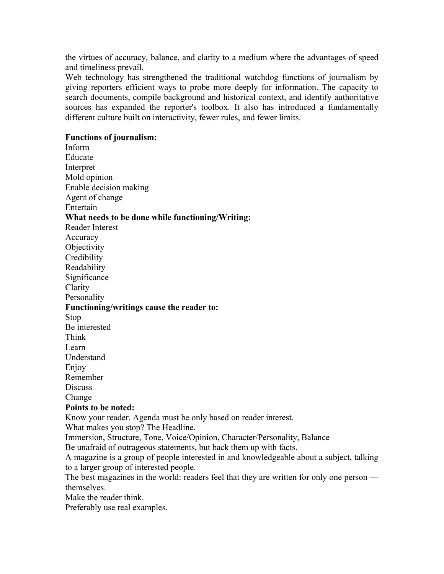the virtues of accuracy, balance, and clarity to a medium where the advantages of speed and timeliness prevail.

Web technology has strengthened the traditional watchdog functions of journalism by giving reporters efficient ways to probe more deeply for information. The capacity to search documents, compile background and historical context, and identify authoritative sources has expanded the reporter's toolbox. It also has introduced a fundamentally different culture built on interactivity, fewer rules, and fewer limits.

#### **Functions of journalism:**

Inform Educate Interpret Mold opinion Enable decision making Agent of change Entertain **What needs to be done while functioning/Writing:** Reader Interest Accuracy **Objectivity Credibility** Readability Significance Clarity Personality **Functioning/writings cause the reader to:** Stop Be interested Think Learn Understand Enjoy Remember **Discuss** Change **Points to be noted:** Know your reader. Agenda must be only based on reader interest. What makes you stop? The Headline. Immersion, Structure, Tone, Voice/Opinion, Character/Personality, Balance Be unafraid of outrageous statements, but back them up with facts. A magazine is a group of people interested in and knowledgeable about a subject, talking to a larger group of interested people.

The best magazines in the world: readers feel that they are written for only one person themselves.

Make the reader think.

Preferably use real examples.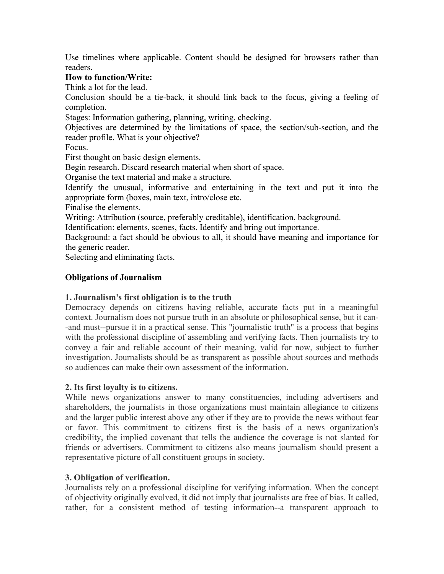Use timelines where applicable. Content should be designed for browsers rather than readers.

## **How to function/Write:**

Think a lot for the lead.

Conclusion should be a tie-back, it should link back to the focus, giving a feeling of completion.

Stages: Information gathering, planning, writing, checking.

Objectives are determined by the limitations of space, the section/sub-section, and the reader profile. What is your objective?

Focus.

First thought on basic design elements.

Begin research. Discard research material when short of space.

Organise the text material and make a structure.

Identify the unusual, informative and entertaining in the text and put it into the appropriate form (boxes, main text, intro/close etc.

Finalise the elements.

Writing: Attribution (source, preferably creditable), identification, background.

Identification: elements, scenes, facts. Identify and bring out importance.

Background: a fact should be obvious to all, it should have meaning and importance for the generic reader.

Selecting and eliminating facts.

# **Obligations of Journalism**

# **1. Journalism's first obligation is to the truth**

Democracy depends on citizens having reliable, accurate facts put in a meaningful context. Journalism does not pursue truth in an absolute or philosophical sense, but it can- -and must--pursue it in a practical sense. This "journalistic truth" is a process that begins with the professional discipline of assembling and verifying facts. Then journalists try to convey a fair and reliable account of their meaning, valid for now, subject to further investigation. Journalists should be as transparent as possible about sources and methods so audiences can make their own assessment of the information.

# **2. Its first loyalty is to citizens.**

While news organizations answer to many constituencies, including advertisers and shareholders, the journalists in those organizations must maintain allegiance to citizens and the larger public interest above any other if they are to provide the news without fear or favor. This commitment to citizens first is the basis of a news organization's credibility, the implied covenant that tells the audience the coverage is not slanted for friends or advertisers. Commitment to citizens also means journalism should present a representative picture of all constituent groups in society.

#### **3. Obligation of verification.**

Journalists rely on a professional discipline for verifying information. When the concept of objectivity originally evolved, it did not imply that journalists are free of bias. It called, rather, for a consistent method of testing information--a transparent approach to